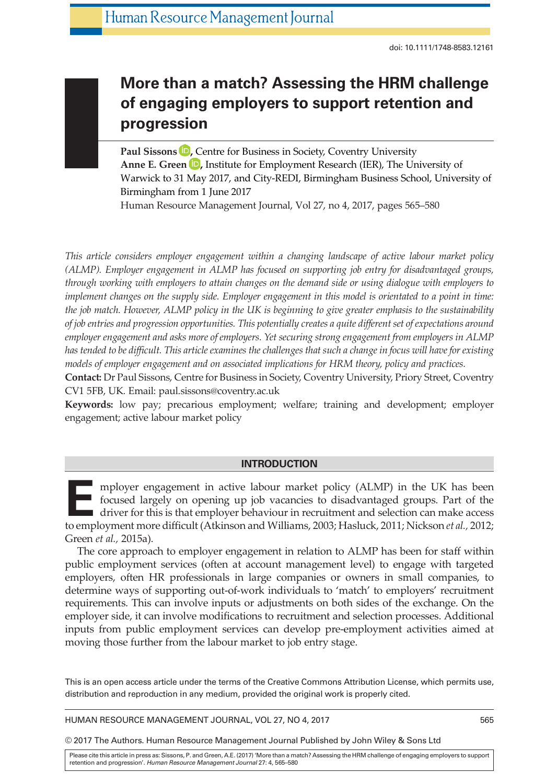# More than a match? Assessing the HRM challenge of engaging employers to support retention and progression

Paul Sissons  $\blacksquare$ , Centre for Business in Society, Coventry University Anne E. Green  $\Box$ , Institute for Employment Research (IER), The University of Warwick to 31 May 2017, and City-REDI, Birmingham Business School, University of Birmingham from 1 June 2017

Human Resource Management Journal, Vol 27, no 4, 2017, pages 565–580

This article considers employer engagement within a changing landscape of active labour market policy (ALMP). Employer engagement in ALMP has focused on supporting job entry for disadvantaged groups, through working with employers to attain changes on the demand side or using dialogue with employers to implement changes on the supply side. Employer engagement in this model is orientated to a point in time: the job match. However, ALMP policy in the UK is beginning to give greater emphasis to the sustainability of job entries and progression opportunities. This potentially creates a quite different set of expectations around employer engagement and asks more of employers. Yet securing strong engagement from employers in ALMP has tended to be difficult. This article examines the challenges that such a change in focus will have for existing models of employer engagement and on associated implications for HRM theory, policy and practices.

Contact: Dr Paul Sissons, Centre for Business in Society, Coventry University, Priory Street, Coventry CV1 5FB, UK. Email: paul.sissons@coventry.ac.uk

Keywords: low pay; precarious employment; welfare; training and development; employer engagement; active labour market policy

#### INTRODUCTION

mployer engagement in active labour market policy (ALMP) in the UK has been focused largely on opening up job vacancies to disadvantaged groups. Part of the driver for this is that employer behaviour in recruitment and selection can make access to employment more difficult (Atkinson and Williams, 2003; Hasluck, 2011; Nickson et al., 2012; Green et al., 2015a).

The core approach to employer engagement in relation to ALMP has been for staff within public employment services (often at account management level) to engage with targeted employers, often HR professionals in large companies or owners in small companies, to determine ways of supporting out-of-work individuals to 'match' to employers' recruitment requirements. This can involve inputs or adjustments on both sides of the exchange. On the employer side, it can involve modifications to recruitment and selection processes. Additional inputs from public employment services can develop pre-employment activities aimed at moving those further from the labour market to job entry stage.

This is an open access article under the terms of the [Creative Commons Attribution](http://creativecommons.org/licenses/by/4.0/) License, which permits use, distribution and reproduction in any medium, provided the original work is properly cited.

HUMAN RESOURCE MANAGEMENT JOURNAL, VOL 27, NO 4, 2017 **1998 10:00 10:00 10:00 10:00 10:00 10:00 10:00 10:00 10:00 10:00 10:00 10:00 10:00 10:00 10:00 10:00 10:00 10:00 10:00 10:00 10:00 10:00 10:00 10:00 10:00 10:00 10:00** 

© 2017 The Authors. Human Resource Management Journal Published by John Wiley & Sons Ltd

Please cite this article in press as: Sissons, P. and Green, A.E. (2017) 'More than a match? Assessing the HRM challenge of engaging employers to support retention and progression'. Human Resource Management Journal 27: 4, 565–<sup>580</sup>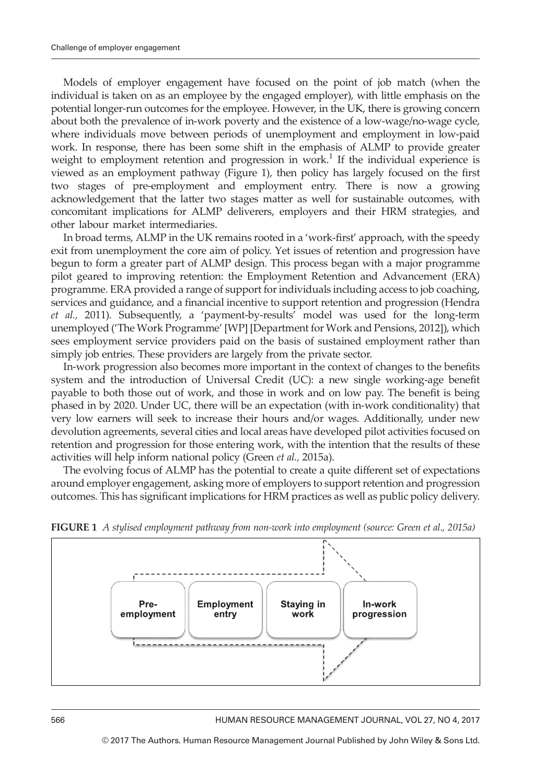Models of employer engagement have focused on the point of job match (when the individual is taken on as an employee by the engaged employer), with little emphasis on the potential longer-run outcomes for the employee. However, in the UK, there is growing concern about both the prevalence of in-work poverty and the existence of a low-wage/no-wage cycle, where individuals move between periods of unemployment and employment in low-paid work. In response, there has been some shift in the emphasis of ALMP to provide greater weight to employment retention and progression in work.<sup>1</sup> If the individual experience is viewed as an employment pathway (Figure 1), then policy has largely focused on the first two stages of pre-employment and employment entry. There is now a growing acknowledgement that the latter two stages matter as well for sustainable outcomes, with concomitant implications for ALMP deliverers, employers and their HRM strategies, and other labour market intermediaries.

In broad terms, ALMP in the UK remains rooted in a 'work-first' approach, with the speedy exit from unemployment the core aim of policy. Yet issues of retention and progression have begun to form a greater part of ALMP design. This process began with a major programme pilot geared to improving retention: the Employment Retention and Advancement (ERA) programme. ERA provided a range of support for individuals including access to job coaching, services and guidance, and a financial incentive to support retention and progression (Hendra et al., 2011). Subsequently, a 'payment-by-results' model was used for the long-term unemployed ('The Work Programme' [WP] [Department for Work and Pensions, 2012]), which sees employment service providers paid on the basis of sustained employment rather than simply job entries. These providers are largely from the private sector.

In-work progression also becomes more important in the context of changes to the benefits system and the introduction of Universal Credit (UC): a new single working-age benefit payable to both those out of work, and those in work and on low pay. The benefit is being phased in by 2020. Under UC, there will be an expectation (with in-work conditionality) that very low earners will seek to increase their hours and/or wages. Additionally, under new devolution agreements, several cities and local areas have developed pilot activities focused on retention and progression for those entering work, with the intention that the results of these activities will help inform national policy (Green et al., 2015a).

The evolving focus of ALMP has the potential to create a quite different set of expectations around employer engagement, asking more of employers to support retention and progression outcomes. This has significant implications for HRM practices as well as public policy delivery.



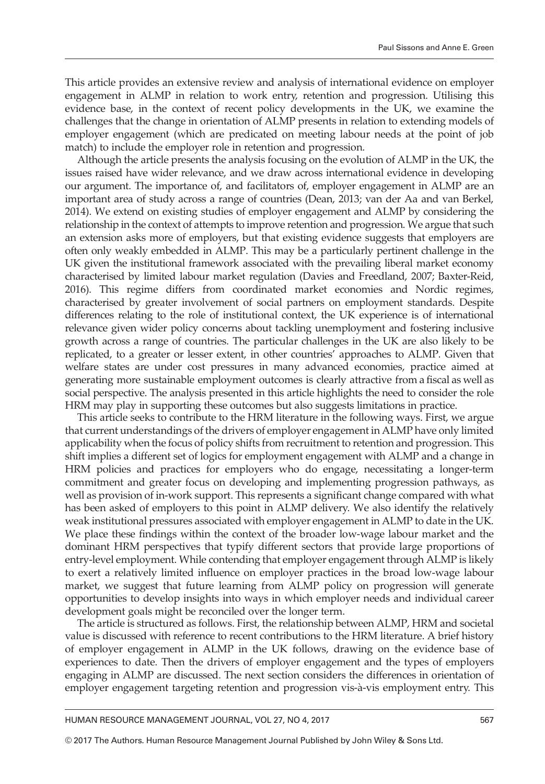This article provides an extensive review and analysis of international evidence on employer engagement in ALMP in relation to work entry, retention and progression. Utilising this evidence base, in the context of recent policy developments in the UK, we examine the challenges that the change in orientation of ALMP presents in relation to extending models of employer engagement (which are predicated on meeting labour needs at the point of job match) to include the employer role in retention and progression.

Although the article presents the analysis focusing on the evolution of ALMP in the UK, the issues raised have wider relevance, and we draw across international evidence in developing our argument. The importance of, and facilitators of, employer engagement in ALMP are an important area of study across a range of countries (Dean, 2013; van der Aa and van Berkel, 2014). We extend on existing studies of employer engagement and ALMP by considering the relationship in the context of attempts to improve retention and progression. We argue that such an extension asks more of employers, but that existing evidence suggests that employers are often only weakly embedded in ALMP. This may be a particularly pertinent challenge in the UK given the institutional framework associated with the prevailing liberal market economy characterised by limited labour market regulation (Davies and Freedland, 2007; Baxter-Reid, 2016). This regime differs from coordinated market economies and Nordic regimes, characterised by greater involvement of social partners on employment standards. Despite differences relating to the role of institutional context, the UK experience is of international relevance given wider policy concerns about tackling unemployment and fostering inclusive growth across a range of countries. The particular challenges in the UK are also likely to be replicated, to a greater or lesser extent, in other countries' approaches to ALMP. Given that welfare states are under cost pressures in many advanced economies, practice aimed at generating more sustainable employment outcomes is clearly attractive from a fiscal as well as social perspective. The analysis presented in this article highlights the need to consider the role HRM may play in supporting these outcomes but also suggests limitations in practice.

This article seeks to contribute to the HRM literature in the following ways. First, we argue that current understandings of the drivers of employer engagement in ALMP have only limited applicability when the focus of policy shifts from recruitment to retention and progression. This shift implies a different set of logics for employment engagement with ALMP and a change in HRM policies and practices for employers who do engage, necessitating a longer-term commitment and greater focus on developing and implementing progression pathways, as well as provision of in-work support. This represents a significant change compared with what has been asked of employers to this point in ALMP delivery. We also identify the relatively weak institutional pressures associated with employer engagement in ALMP to date in the UK. We place these findings within the context of the broader low-wage labour market and the dominant HRM perspectives that typify different sectors that provide large proportions of entry-level employment. While contending that employer engagement through ALMP is likely to exert a relatively limited influence on employer practices in the broad low-wage labour market, we suggest that future learning from ALMP policy on progression will generate opportunities to develop insights into ways in which employer needs and individual career development goals might be reconciled over the longer term.

The article is structured as follows. First, the relationship between ALMP, HRM and societal value is discussed with reference to recent contributions to the HRM literature. A brief history of employer engagement in ALMP in the UK follows, drawing on the evidence base of experiences to date. Then the drivers of employer engagement and the types of employers engaging in ALMP are discussed. The next section considers the differences in orientation of employer engagement targeting retention and progression vis-à-vis employment entry. This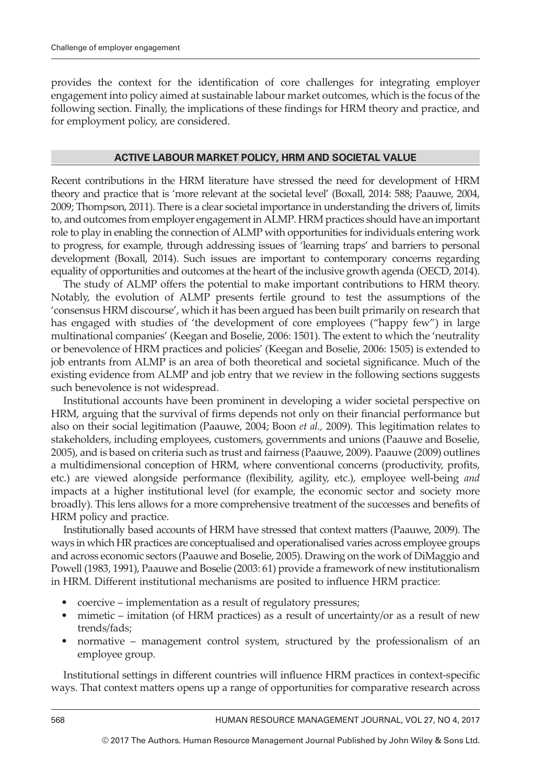provides the context for the identification of core challenges for integrating employer engagement into policy aimed at sustainable labour market outcomes, which is the focus of the following section. Finally, the implications of these findings for HRM theory and practice, and for employment policy, are considered.

## ACTIVE LABOUR MARKET POLICY, HRM AND SOCIETAL VALUE

Recent contributions in the HRM literature have stressed the need for development of HRM theory and practice that is 'more relevant at the societal level' (Boxall, 2014: 588; Paauwe, 2004, 2009; Thompson, 2011). There is a clear societal importance in understanding the drivers of, limits to, and outcomes from employer engagement in ALMP. HRM practices should have an important role to play in enabling the connection of ALMP with opportunities for individuals entering work to progress, for example, through addressing issues of 'learning traps' and barriers to personal development (Boxall, 2014). Such issues are important to contemporary concerns regarding equality of opportunities and outcomes at the heart of the inclusive growth agenda (OECD, 2014).

The study of ALMP offers the potential to make important contributions to HRM theory. Notably, the evolution of ALMP presents fertile ground to test the assumptions of the 'consensus HRM discourse', which it has been argued has been built primarily on research that has engaged with studies of 'the development of core employees ("happy few") in large multinational companies' (Keegan and Boselie, 2006: 1501). The extent to which the 'neutrality or benevolence of HRM practices and policies' (Keegan and Boselie, 2006: 1505) is extended to job entrants from ALMP is an area of both theoretical and societal significance. Much of the existing evidence from ALMP and job entry that we review in the following sections suggests such benevolence is not widespread.

Institutional accounts have been prominent in developing a wider societal perspective on HRM, arguing that the survival of firms depends not only on their financial performance but also on their social legitimation (Paauwe, 2004; Boon et al., 2009). This legitimation relates to stakeholders, including employees, customers, governments and unions (Paauwe and Boselie, 2005), and is based on criteria such as trust and fairness (Paauwe, 2009). Paauwe (2009) outlines a multidimensional conception of HRM, where conventional concerns (productivity, profits, etc.) are viewed alongside performance (flexibility, agility, etc.), employee well-being and impacts at a higher institutional level (for example, the economic sector and society more broadly). This lens allows for a more comprehensive treatment of the successes and benefits of HRM policy and practice.

Institutionally based accounts of HRM have stressed that context matters (Paauwe, 2009). The ways in which HR practices are conceptualised and operationalised varies across employee groups and across economic sectors (Paauwe and Boselie, 2005). Drawing on the work of DiMaggio and Powell (1983, 1991), Paauwe and Boselie (2003: 61) provide a framework of new institutionalism in HRM. Different institutional mechanisms are posited to influence HRM practice:

- coercive implementation as a result of regulatory pressures;
- mimetic imitation (of HRM practices) as a result of uncertainty/or as a result of new trends/fads;
- normative management control system, structured by the professionalism of an employee group.

Institutional settings in different countries will influence HRM practices in context-specific ways. That context matters opens up a range of opportunities for comparative research across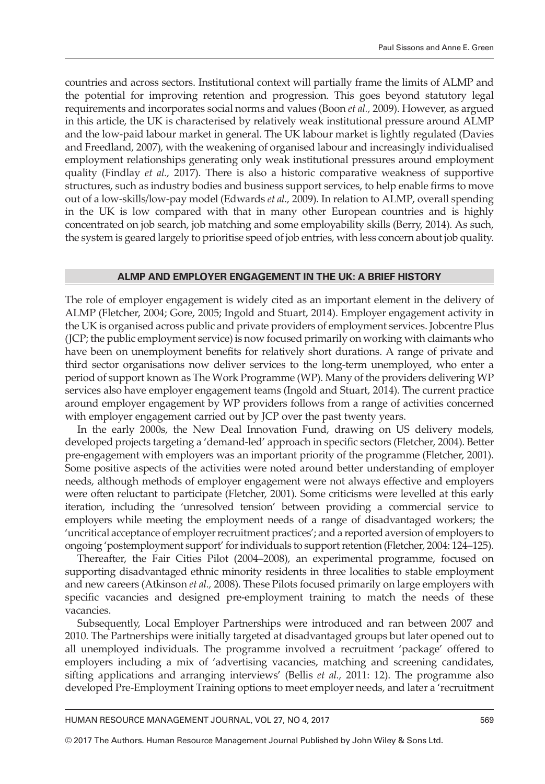countries and across sectors. Institutional context will partially frame the limits of ALMP and the potential for improving retention and progression. This goes beyond statutory legal requirements and incorporates social norms and values (Boon et al., 2009). However, as argued in this article, the UK is characterised by relatively weak institutional pressure around ALMP and the low-paid labour market in general. The UK labour market is lightly regulated (Davies and Freedland, 2007), with the weakening of organised labour and increasingly individualised employment relationships generating only weak institutional pressures around employment quality (Findlay et al., 2017). There is also a historic comparative weakness of supportive structures, such as industry bodies and business support services, to help enable firms to move out of a low-skills/low-pay model (Edwards et al., 2009). In relation to ALMP, overall spending in the UK is low compared with that in many other European countries and is highly concentrated on job search, job matching and some employability skills (Berry, 2014). As such, the system is geared largely to prioritise speed of job entries, with less concern about job quality.

## ALMP AND EMPLOYER ENGAGEMENT IN THE UK: A BRIEF HISTORY

The role of employer engagement is widely cited as an important element in the delivery of ALMP (Fletcher, 2004; Gore, 2005; Ingold and Stuart, 2014). Employer engagement activity in the UK is organised across public and private providers of employment services. Jobcentre Plus (JCP; the public employment service) is now focused primarily on working with claimants who have been on unemployment benefits for relatively short durations. A range of private and third sector organisations now deliver services to the long-term unemployed, who enter a period of support known as The Work Programme (WP). Many of the providers delivering WP services also have employer engagement teams (Ingold and Stuart, 2014). The current practice around employer engagement by WP providers follows from a range of activities concerned with employer engagement carried out by JCP over the past twenty years.

In the early 2000s, the New Deal Innovation Fund, drawing on US delivery models, developed projects targeting a 'demand-led' approach in specific sectors (Fletcher, 2004). Better pre-engagement with employers was an important priority of the programme (Fletcher, 2001). Some positive aspects of the activities were noted around better understanding of employer needs, although methods of employer engagement were not always effective and employers were often reluctant to participate (Fletcher, 2001). Some criticisms were levelled at this early iteration, including the 'unresolved tension' between providing a commercial service to employers while meeting the employment needs of a range of disadvantaged workers; the 'uncritical acceptance of employer recruitment practices'; and a reported aversion of employers to ongoing 'postemployment support' for individuals to support retention (Fletcher, 2004: 124–125).

Thereafter, the Fair Cities Pilot (2004–2008), an experimental programme, focused on supporting disadvantaged ethnic minority residents in three localities to stable employment and new careers (Atkinson *et al.,* 2008). These Pilots focused primarily on large employers with specific vacancies and designed pre-employment training to match the needs of these vacancies.

Subsequently, Local Employer Partnerships were introduced and ran between 2007 and 2010. The Partnerships were initially targeted at disadvantaged groups but later opened out to all unemployed individuals. The programme involved a recruitment 'package' offered to employers including a mix of 'advertising vacancies, matching and screening candidates, sifting applications and arranging interviews' (Bellis et al., 2011: 12). The programme also developed Pre-Employment Training options to meet employer needs, and later a 'recruitment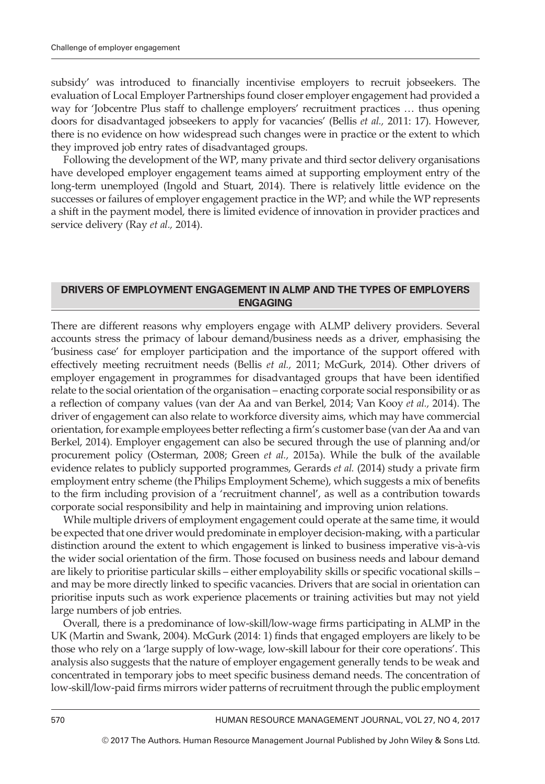subsidy' was introduced to financially incentivise employers to recruit jobseekers. The evaluation of Local Employer Partnerships found closer employer engagement had provided a way for 'Jobcentre Plus staff to challenge employers' recruitment practices … thus opening doors for disadvantaged jobseekers to apply for vacancies' (Bellis et al., 2011: 17). However, there is no evidence on how widespread such changes were in practice or the extent to which they improved job entry rates of disadvantaged groups.

Following the development of the WP, many private and third sector delivery organisations have developed employer engagement teams aimed at supporting employment entry of the long-term unemployed (Ingold and Stuart, 2014). There is relatively little evidence on the successes or failures of employer engagement practice in the WP; and while the WP represents a shift in the payment model, there is limited evidence of innovation in provider practices and service delivery (Ray et al., 2014).

## DRIVERS OF EMPLOYMENT ENGAGEMENT IN ALMP AND THE TYPES OF EMPLOYERS ENGAGING

There are different reasons why employers engage with ALMP delivery providers. Several accounts stress the primacy of labour demand/business needs as a driver, emphasising the 'business case' for employer participation and the importance of the support offered with effectively meeting recruitment needs (Bellis et al., 2011; McGurk, 2014). Other drivers of employer engagement in programmes for disadvantaged groups that have been identified relate to the social orientation of the organisation – enacting corporate social responsibility or as a reflection of company values (van der Aa and van Berkel, 2014; Van Kooy et al., 2014). The driver of engagement can also relate to workforce diversity aims, which may have commercial orientation, for example employees better reflecting a firm's customer base (van der Aa and van Berkel, 2014). Employer engagement can also be secured through the use of planning and/or procurement policy (Osterman, 2008; Green et al., 2015a). While the bulk of the available evidence relates to publicly supported programmes, Gerards et al. (2014) study a private firm employment entry scheme (the Philips Employment Scheme), which suggests a mix of benefits to the firm including provision of a 'recruitment channel', as well as a contribution towards corporate social responsibility and help in maintaining and improving union relations.

While multiple drivers of employment engagement could operate at the same time, it would be expected that one driver would predominate in employer decision-making, with a particular distinction around the extent to which engagement is linked to business imperative vis-à-vis the wider social orientation of the firm. Those focused on business needs and labour demand are likely to prioritise particular skills – either employability skills or specific vocational skills – and may be more directly linked to specific vacancies. Drivers that are social in orientation can prioritise inputs such as work experience placements or training activities but may not yield large numbers of job entries.

Overall, there is a predominance of low-skill/low-wage firms participating in ALMP in the UK (Martin and Swank, 2004). McGurk (2014: 1) finds that engaged employers are likely to be those who rely on a 'large supply of low-wage, low-skill labour for their core operations'. This analysis also suggests that the nature of employer engagement generally tends to be weak and concentrated in temporary jobs to meet specific business demand needs. The concentration of low-skill/low-paid firms mirrors wider patterns of recruitment through the public employment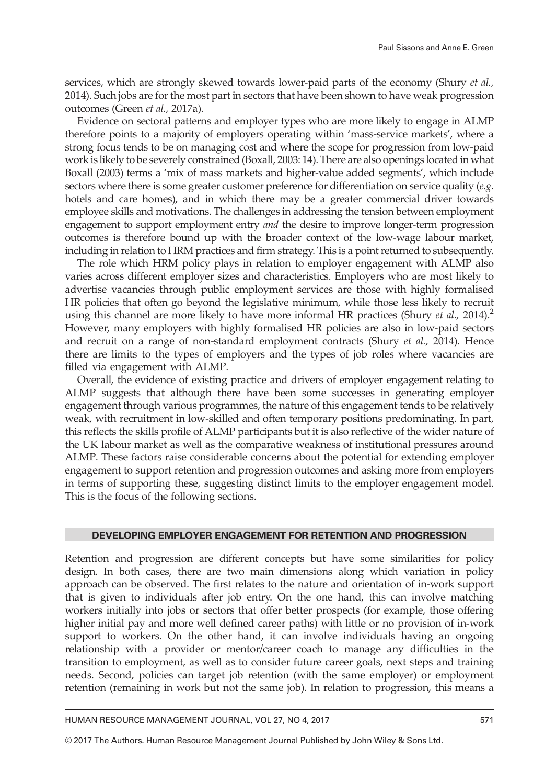services, which are strongly skewed towards lower-paid parts of the economy (Shury *et al.*, 2014). Such jobs are for the most part in sectors that have been shown to have weak progression outcomes (Green et al., 2017a).

Evidence on sectoral patterns and employer types who are more likely to engage in ALMP therefore points to a majority of employers operating within 'mass-service markets', where a strong focus tends to be on managing cost and where the scope for progression from low-paid work is likely to be severely constrained (Boxall, 2003: 14). There are also openings located in what Boxall (2003) terms a 'mix of mass markets and higher-value added segments', which include sectors where there is some greater customer preference for differentiation on service quality (e.g. hotels and care homes), and in which there may be a greater commercial driver towards employee skills and motivations. The challenges in addressing the tension between employment engagement to support employment entry and the desire to improve longer-term progression outcomes is therefore bound up with the broader context of the low-wage labour market, including in relation to HRM practices and firm strategy. This is a point returned to subsequently.

The role which HRM policy plays in relation to employer engagement with ALMP also varies across different employer sizes and characteristics. Employers who are most likely to advertise vacancies through public employment services are those with highly formalised HR policies that often go beyond the legislative minimum, while those less likely to recruit using this channel are more likely to have more informal HR practices (Shury *et al.,* 2014).<sup>2</sup> However, many employers with highly formalised HR policies are also in low-paid sectors and recruit on a range of non-standard employment contracts (Shury  $et$   $al$ , 2014). Hence there are limits to the types of employers and the types of job roles where vacancies are filled via engagement with ALMP.

Overall, the evidence of existing practice and drivers of employer engagement relating to ALMP suggests that although there have been some successes in generating employer engagement through various programmes, the nature of this engagement tends to be relatively weak, with recruitment in low-skilled and often temporary positions predominating. In part, this reflects the skills profile of ALMP participants but it is also reflective of the wider nature of the UK labour market as well as the comparative weakness of institutional pressures around ALMP. These factors raise considerable concerns about the potential for extending employer engagement to support retention and progression outcomes and asking more from employers in terms of supporting these, suggesting distinct limits to the employer engagement model. This is the focus of the following sections.

## DEVELOPING EMPLOYER ENGAGEMENT FOR RETENTION AND PROGRESSION

Retention and progression are different concepts but have some similarities for policy design. In both cases, there are two main dimensions along which variation in policy approach can be observed. The first relates to the nature and orientation of in-work support that is given to individuals after job entry. On the one hand, this can involve matching workers initially into jobs or sectors that offer better prospects (for example, those offering higher initial pay and more well defined career paths) with little or no provision of in-work support to workers. On the other hand, it can involve individuals having an ongoing relationship with a provider or mentor/career coach to manage any difficulties in the transition to employment, as well as to consider future career goals, next steps and training needs. Second, policies can target job retention (with the same employer) or employment retention (remaining in work but not the same job). In relation to progression, this means a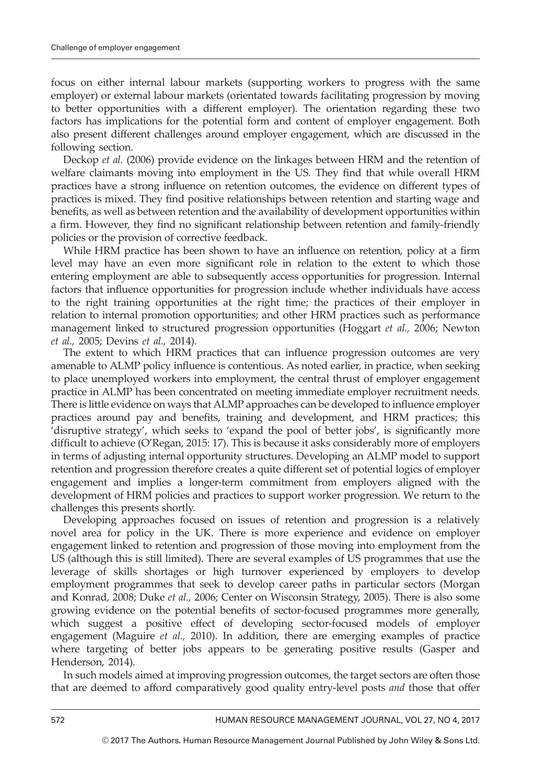focus on either internal labour markets (supporting workers to progress with the same employer) or external labour markets (orientated towards facilitating progression by moving to better opportunities with a different employer). The orientation regarding these two factors has implications for the potential form and content of employer engagement. Both also present different challenges around employer engagement, which are discussed in the following section.

Deckop et al. (2006) provide evidence on the linkages between HRM and the retention of welfare claimants moving into employment in the US. They find that while overall HRM practices have a strong influence on retention outcomes, the evidence on different types of practices is mixed. They find positive relationships between retention and starting wage and benefits, as well as between retention and the availability of development opportunities within a firm. However, they find no significant relationship between retention and family-friendly policies or the provision of corrective feedback.

While HRM practice has been shown to have an influence on retention, policy at a firm level may have an even more significant role in relation to the extent to which those entering employment are able to subsequently access opportunities for progression. Internal factors that influence opportunities for progression include whether individuals have access to the right training opportunities at the right time; the practices of their employer in relation to internal promotion opportunities; and other HRM practices such as performance management linked to structured progression opportunities (Hoggart et al., 2006; Newton et al., 2005; Devins et al., 2014).

The extent to which HRM practices that can influence progression outcomes are very amenable to ALMP policy influence is contentious. As noted earlier, in practice, when seeking to place unemployed workers into employment, the central thrust of employer engagement practice in ALMP has been concentrated on meeting immediate employer recruitment needs. There is little evidence on ways that ALMP approaches can be developed to influence employer practices around pay and benefits, training and development, and HRM practices; this 'disruptive strategy', which seeks to 'expand the pool of better jobs', is significantly more difficult to achieve (O'Regan, 2015: 17). This is because it asks considerably more of employers in terms of adjusting internal opportunity structures. Developing an ALMP model to support retention and progression therefore creates a quite different set of potential logics of employer engagement and implies a longer-term commitment from employers aligned with the development of HRM policies and practices to support worker progression. We return to the challenges this presents shortly.

Developing approaches focused on issues of retention and progression is a relatively novel area for policy in the UK. There is more experience and evidence on employer engagement linked to retention and progression of those moving into employment from the US (although this is still limited). There are several examples of US programmes that use the leverage of skills shortages or high turnover experienced by employers to develop employment programmes that seek to develop career paths in particular sectors (Morgan and Konrad, 2008; Duke et al., 2006; Center on Wisconsin Strategy, 2005). There is also some growing evidence on the potential benefits of sector-focused programmes more generally, which suggest a positive effect of developing sector-focused models of employer engagement (Maguire et al., 2010). In addition, there are emerging examples of practice where targeting of better jobs appears to be generating positive results (Gasper and Henderson, 2014).

In such models aimed at improving progression outcomes, the target sectors are often those that are deemed to afford comparatively good quality entry-level posts and those that offer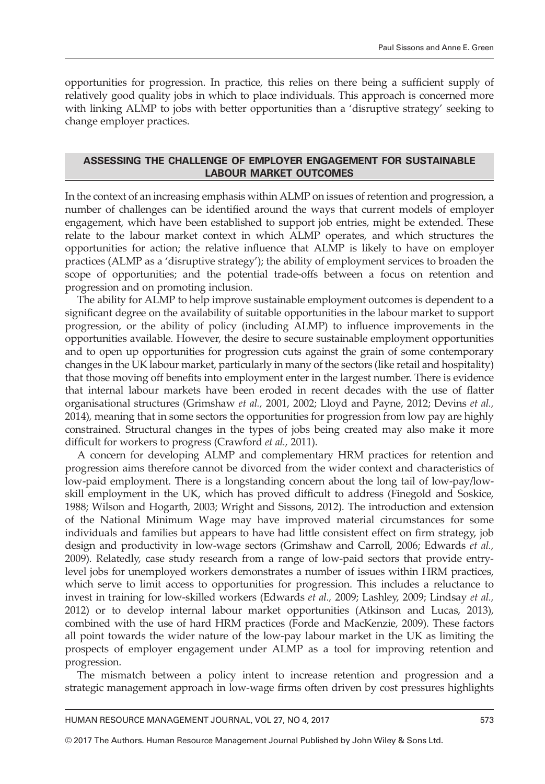opportunities for progression. In practice, this relies on there being a sufficient supply of relatively good quality jobs in which to place individuals. This approach is concerned more with linking ALMP to jobs with better opportunities than a 'disruptive strategy' seeking to change employer practices.

## ASSESSING THE CHALLENGE OF EMPLOYER ENGAGEMENT FOR SUSTAINABLE LABOUR MARKET OUTCOMES

In the context of an increasing emphasis within ALMP on issues of retention and progression, a number of challenges can be identified around the ways that current models of employer engagement, which have been established to support job entries, might be extended. These relate to the labour market context in which ALMP operates, and which structures the opportunities for action; the relative influence that ALMP is likely to have on employer practices (ALMP as a 'disruptive strategy'); the ability of employment services to broaden the scope of opportunities; and the potential trade-offs between a focus on retention and progression and on promoting inclusion.

The ability for ALMP to help improve sustainable employment outcomes is dependent to a significant degree on the availability of suitable opportunities in the labour market to support progression, or the ability of policy (including ALMP) to influence improvements in the opportunities available. However, the desire to secure sustainable employment opportunities and to open up opportunities for progression cuts against the grain of some contemporary changes in the UK labour market, particularly in many of the sectors (like retail and hospitality) that those moving off benefits into employment enter in the largest number. There is evidence that internal labour markets have been eroded in recent decades with the use of flatter organisational structures (Grimshaw et al., 2001, 2002; Lloyd and Payne, 2012; Devins et al., 2014), meaning that in some sectors the opportunities for progression from low pay are highly constrained. Structural changes in the types of jobs being created may also make it more difficult for workers to progress (Crawford et al., 2011).

A concern for developing ALMP and complementary HRM practices for retention and progression aims therefore cannot be divorced from the wider context and characteristics of low-paid employment. There is a longstanding concern about the long tail of low-pay/lowskill employment in the UK, which has proved difficult to address (Finegold and Soskice, 1988; Wilson and Hogarth, 2003; Wright and Sissons, 2012). The introduction and extension of the National Minimum Wage may have improved material circumstances for some individuals and families but appears to have had little consistent effect on firm strategy, job design and productivity in low-wage sectors (Grimshaw and Carroll, 2006; Edwards et al., 2009). Relatedly, case study research from a range of low-paid sectors that provide entrylevel jobs for unemployed workers demonstrates a number of issues within HRM practices, which serve to limit access to opportunities for progression. This includes a reluctance to invest in training for low-skilled workers (Edwards et al., 2009; Lashley, 2009; Lindsay et al., 2012) or to develop internal labour market opportunities (Atkinson and Lucas, 2013), combined with the use of hard HRM practices (Forde and MacKenzie, 2009). These factors all point towards the wider nature of the low-pay labour market in the UK as limiting the prospects of employer engagement under ALMP as a tool for improving retention and progression.

The mismatch between a policy intent to increase retention and progression and a strategic management approach in low-wage firms often driven by cost pressures highlights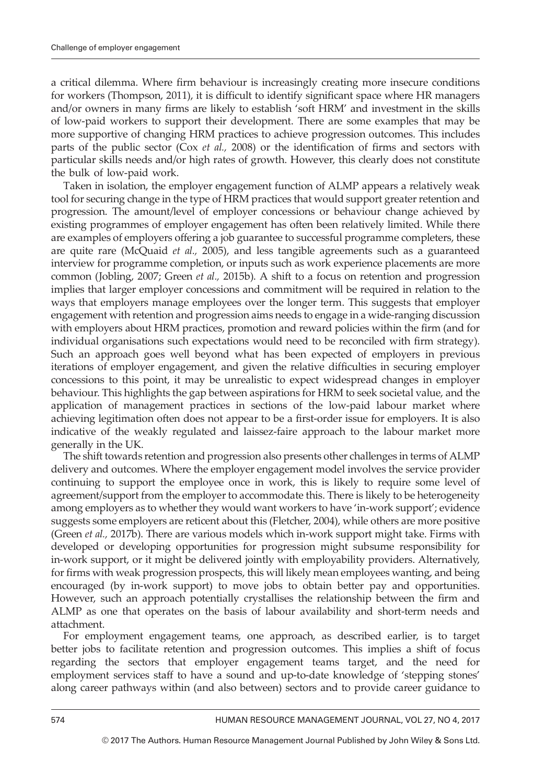a critical dilemma. Where firm behaviour is increasingly creating more insecure conditions for workers (Thompson, 2011), it is difficult to identify significant space where HR managers and/or owners in many firms are likely to establish 'soft HRM' and investment in the skills of low-paid workers to support their development. There are some examples that may be more supportive of changing HRM practices to achieve progression outcomes. This includes parts of the public sector (Cox et al., 2008) or the identification of firms and sectors with particular skills needs and/or high rates of growth. However, this clearly does not constitute the bulk of low-paid work.

Taken in isolation, the employer engagement function of ALMP appears a relatively weak tool for securing change in the type of HRM practices that would support greater retention and progression. The amount/level of employer concessions or behaviour change achieved by existing programmes of employer engagement has often been relatively limited. While there are examples of employers offering a job guarantee to successful programme completers, these are quite rare (McQuaid  $et$  al., 2005), and less tangible agreements such as a guaranteed interview for programme completion, or inputs such as work experience placements are more common (Jobling, 2007; Green et al., 2015b). A shift to a focus on retention and progression implies that larger employer concessions and commitment will be required in relation to the ways that employers manage employees over the longer term. This suggests that employer engagement with retention and progression aims needs to engage in a wide-ranging discussion with employers about HRM practices, promotion and reward policies within the firm (and for individual organisations such expectations would need to be reconciled with firm strategy). Such an approach goes well beyond what has been expected of employers in previous iterations of employer engagement, and given the relative difficulties in securing employer concessions to this point, it may be unrealistic to expect widespread changes in employer behaviour. This highlights the gap between aspirations for HRM to seek societal value, and the application of management practices in sections of the low-paid labour market where achieving legitimation often does not appear to be a first-order issue for employers. It is also indicative of the weakly regulated and laissez-faire approach to the labour market more generally in the UK.

The shift towards retention and progression also presents other challenges in terms of ALMP delivery and outcomes. Where the employer engagement model involves the service provider continuing to support the employee once in work, this is likely to require some level of agreement/support from the employer to accommodate this. There is likely to be heterogeneity among employers as to whether they would want workers to have 'in-work support'; evidence suggests some employers are reticent about this (Fletcher, 2004), while others are more positive (Green et al., 2017b). There are various models which in-work support might take. Firms with developed or developing opportunities for progression might subsume responsibility for in-work support, or it might be delivered jointly with employability providers. Alternatively, for firms with weak progression prospects, this will likely mean employees wanting, and being encouraged (by in-work support) to move jobs to obtain better pay and opportunities. However, such an approach potentially crystallises the relationship between the firm and ALMP as one that operates on the basis of labour availability and short-term needs and attachment.

For employment engagement teams, one approach, as described earlier, is to target better jobs to facilitate retention and progression outcomes. This implies a shift of focus regarding the sectors that employer engagement teams target, and the need for employment services staff to have a sound and up-to-date knowledge of 'stepping stones' along career pathways within (and also between) sectors and to provide career guidance to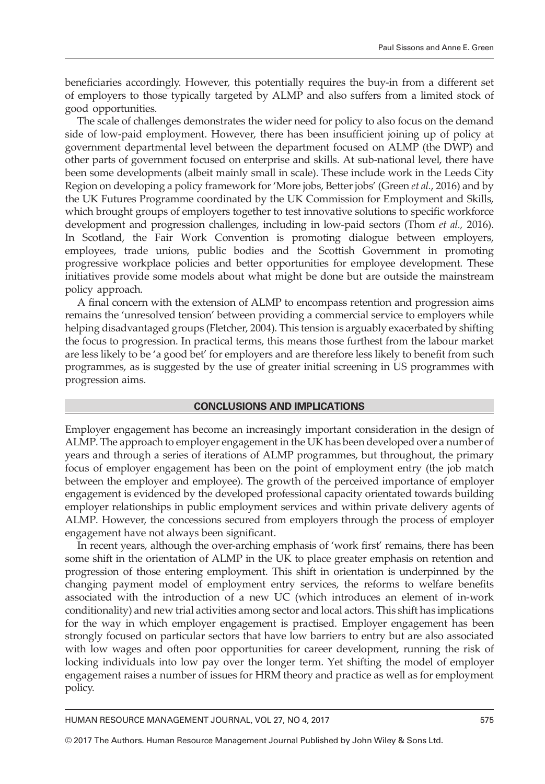beneficiaries accordingly. However, this potentially requires the buy-in from a different set of employers to those typically targeted by ALMP and also suffers from a limited stock of good opportunities.

The scale of challenges demonstrates the wider need for policy to also focus on the demand side of low-paid employment. However, there has been insufficient joining up of policy at government departmental level between the department focused on ALMP (the DWP) and other parts of government focused on enterprise and skills. At sub-national level, there have been some developments (albeit mainly small in scale). These include work in the Leeds City Region on developing a policy framework for 'More jobs, Better jobs' (Green et al., 2016) and by the UK Futures Programme coordinated by the UK Commission for Employment and Skills, which brought groups of employers together to test innovative solutions to specific workforce development and progression challenges, including in low-paid sectors (Thom *et al.*, 2016). In Scotland, the Fair Work Convention is promoting dialogue between employers, employees, trade unions, public bodies and the Scottish Government in promoting progressive workplace policies and better opportunities for employee development. These initiatives provide some models about what might be done but are outside the mainstream policy approach.

A final concern with the extension of ALMP to encompass retention and progression aims remains the 'unresolved tension' between providing a commercial service to employers while helping disadvantaged groups (Fletcher, 2004). This tension is arguably exacerbated by shifting the focus to progression. In practical terms, this means those furthest from the labour market are less likely to be 'a good bet' for employers and are therefore less likely to benefit from such programmes, as is suggested by the use of greater initial screening in US programmes with progression aims.

## CONCLUSIONS AND IMPLICATIONS

Employer engagement has become an increasingly important consideration in the design of ALMP. The approach to employer engagement in the UK has been developed over a number of years and through a series of iterations of ALMP programmes, but throughout, the primary focus of employer engagement has been on the point of employment entry (the job match between the employer and employee). The growth of the perceived importance of employer engagement is evidenced by the developed professional capacity orientated towards building employer relationships in public employment services and within private delivery agents of ALMP. However, the concessions secured from employers through the process of employer engagement have not always been significant.

In recent years, although the over-arching emphasis of 'work first' remains, there has been some shift in the orientation of ALMP in the UK to place greater emphasis on retention and progression of those entering employment. This shift in orientation is underpinned by the changing payment model of employment entry services, the reforms to welfare benefits associated with the introduction of a new UC (which introduces an element of in-work conditionality) and new trial activities among sector and local actors. This shift has implications for the way in which employer engagement is practised. Employer engagement has been strongly focused on particular sectors that have low barriers to entry but are also associated with low wages and often poor opportunities for career development, running the risk of locking individuals into low pay over the longer term. Yet shifting the model of employer engagement raises a number of issues for HRM theory and practice as well as for employment policy.

HUMAN RESOURCE MANAGEMENT JOURNAL, VOL 27, NO 4, 2017 **FALL CONTROLS 1998**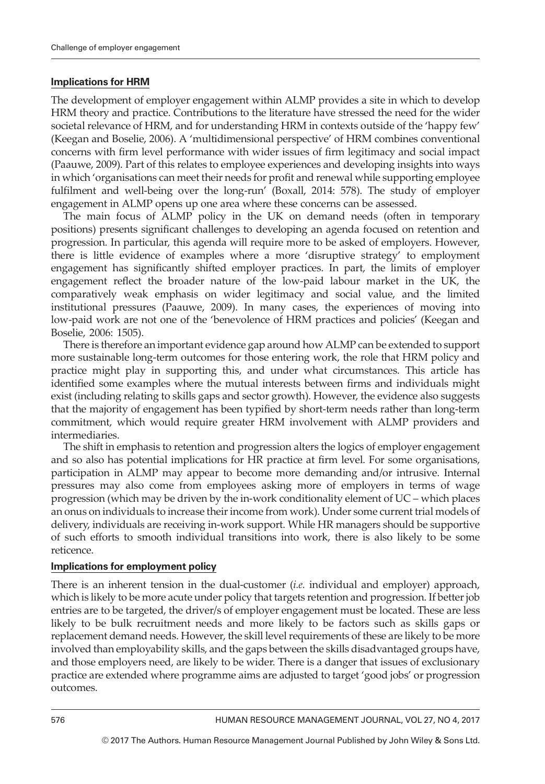## Implications for HRM

The development of employer engagement within ALMP provides a site in which to develop HRM theory and practice. Contributions to the literature have stressed the need for the wider societal relevance of HRM, and for understanding HRM in contexts outside of the 'happy few' (Keegan and Boselie, 2006). A 'multidimensional perspective' of HRM combines conventional concerns with firm level performance with wider issues of firm legitimacy and social impact (Paauwe, 2009). Part of this relates to employee experiences and developing insights into ways in which 'organisations can meet their needs for profit and renewal while supporting employee fulfilment and well-being over the long-run' (Boxall, 2014: 578). The study of employer engagement in ALMP opens up one area where these concerns can be assessed.

The main focus of ALMP policy in the UK on demand needs (often in temporary positions) presents significant challenges to developing an agenda focused on retention and progression. In particular, this agenda will require more to be asked of employers. However, there is little evidence of examples where a more 'disruptive strategy' to employment engagement has significantly shifted employer practices. In part, the limits of employer engagement reflect the broader nature of the low-paid labour market in the UK, the comparatively weak emphasis on wider legitimacy and social value, and the limited institutional pressures (Paauwe, 2009). In many cases, the experiences of moving into low-paid work are not one of the 'benevolence of HRM practices and policies' (Keegan and Boselie, 2006: 1505).

There is therefore an important evidence gap around how ALMP can be extended to support more sustainable long-term outcomes for those entering work, the role that HRM policy and practice might play in supporting this, and under what circumstances. This article has identified some examples where the mutual interests between firms and individuals might exist (including relating to skills gaps and sector growth). However, the evidence also suggests that the majority of engagement has been typified by short-term needs rather than long-term commitment, which would require greater HRM involvement with ALMP providers and intermediaries.

The shift in emphasis to retention and progression alters the logics of employer engagement and so also has potential implications for HR practice at firm level. For some organisations, participation in ALMP may appear to become more demanding and/or intrusive. Internal pressures may also come from employees asking more of employers in terms of wage progression (which may be driven by the in-work conditionality element of UC – which places an onus on individuals to increase their income from work). Under some current trial models of delivery, individuals are receiving in-work support. While HR managers should be supportive of such efforts to smooth individual transitions into work, there is also likely to be some reticence.

## Implications for employment policy

There is an inherent tension in the dual-customer *(i.e.* individual and employer) approach, which is likely to be more acute under policy that targets retention and progression. If better job entries are to be targeted, the driver/s of employer engagement must be located. These are less likely to be bulk recruitment needs and more likely to be factors such as skills gaps or replacement demand needs. However, the skill level requirements of these are likely to be more involved than employability skills, and the gaps between the skills disadvantaged groups have, and those employers need, are likely to be wider. There is a danger that issues of exclusionary practice are extended where programme aims are adjusted to target 'good jobs' or progression outcomes.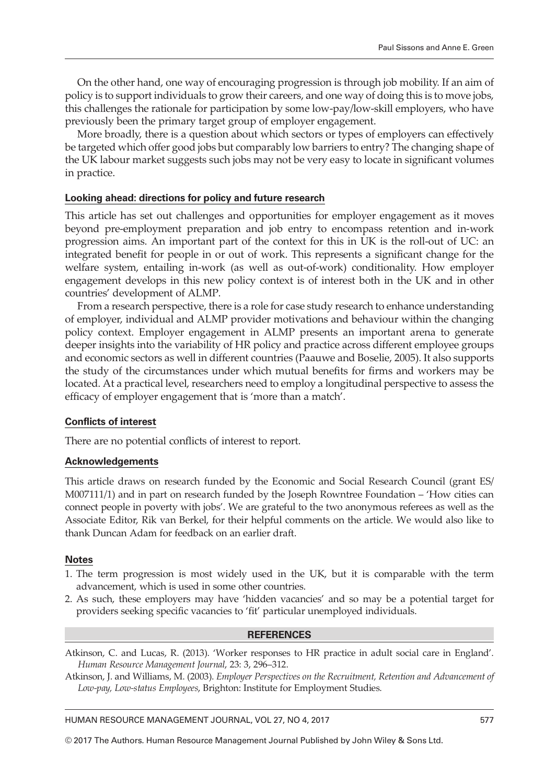On the other hand, one way of encouraging progression is through job mobility. If an aim of policy is to support individuals to grow their careers, and one way of doing this is to move jobs, this challenges the rationale for participation by some low-pay/low-skill employers, who have previously been the primary target group of employer engagement.

More broadly, there is a question about which sectors or types of employers can effectively be targeted which offer good jobs but comparably low barriers to entry? The changing shape of the UK labour market suggests such jobs may not be very easy to locate in significant volumes in practice.

## Looking ahead: directions for policy and future research

This article has set out challenges and opportunities for employer engagement as it moves beyond pre-employment preparation and job entry to encompass retention and in-work progression aims. An important part of the context for this in UK is the roll-out of UC: an integrated benefit for people in or out of work. This represents a significant change for the welfare system, entailing in-work (as well as out-of-work) conditionality. How employer engagement develops in this new policy context is of interest both in the UK and in other countries' development of ALMP.

From a research perspective, there is a role for case study research to enhance understanding of employer, individual and ALMP provider motivations and behaviour within the changing policy context. Employer engagement in ALMP presents an important arena to generate deeper insights into the variability of HR policy and practice across different employee groups and economic sectors as well in different countries (Paauwe and Boselie, 2005). It also supports the study of the circumstances under which mutual benefits for firms and workers may be located. At a practical level, researchers need to employ a longitudinal perspective to assess the efficacy of employer engagement that is 'more than a match'.

## Conflicts of interest

There are no potential conflicts of interest to report.

## Acknowledgements

This article draws on research funded by the Economic and Social Research Council (grant ES/ M007111/1) and in part on research funded by the Joseph Rowntree Foundation – 'How cities can connect people in poverty with jobs'. We are grateful to the two anonymous referees as well as the Associate Editor, Rik van Berkel, for their helpful comments on the article. We would also like to thank Duncan Adam for feedback on an earlier draft.

## **Notes**

- 1. The term progression is most widely used in the UK, but it is comparable with the term advancement, which is used in some other countries.
- 2. As such, these employers may have 'hidden vacancies' and so may be a potential target for providers seeking specific vacancies to 'fit' particular unemployed individuals.

## **REFERENCES**

Atkinson, C. and Lucas, R. (2013). 'Worker responses to HR practice in adult social care in England'. Human Resource Management Journal, 23: 3, 296–312.

Atkinson, J. and Williams, M. (2003). Employer Perspectives on the Recruitment, Retention and Advancement of Low-pay, Low-status Employees, Brighton: Institute for Employment Studies.

HUMAN RESOURCE MANAGEMENT JOURNAL, VOL 27, NO 4, 2017 **FOUR ASSESSED ASSESSED AT A 1999**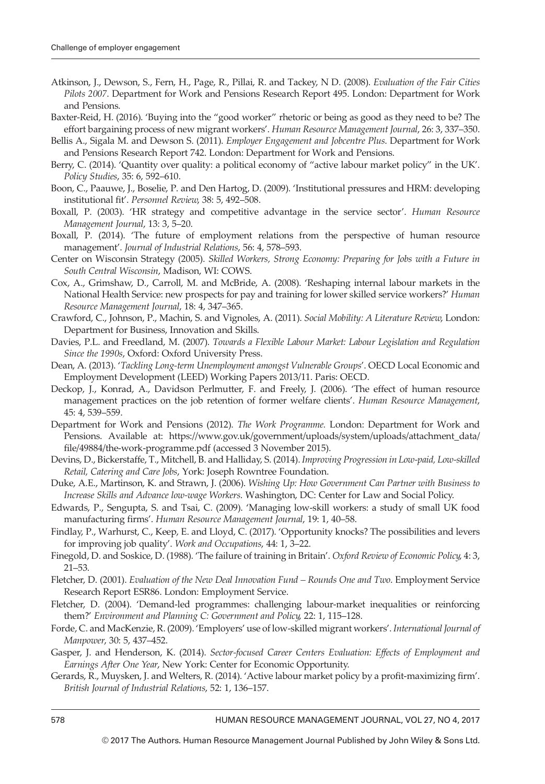- Atkinson, J., Dewson, S., Fern, H., Page, R., Pillai, R. and Tackey, N D. (2008). Evaluation of the Fair Cities Pilots 2007. Department for Work and Pensions Research Report 495. London: Department for Work and Pensions.
- Baxter-Reid, H. (2016). 'Buying into the "good worker" rhetoric or being as good as they need to be? The effort bargaining process of new migrant workers'. Human Resource Management Journal, 26: 3, 337–350.
- Bellis A., Sigala M. and Dewson S. (2011). Employer Engagement and Jobcentre Plus. Department for Work and Pensions Research Report 742. London: Department for Work and Pensions.
- Berry, C. (2014). 'Quantity over quality: a political economy of "active labour market policy" in the UK'. Policy Studies, 35: 6, 592–610.
- Boon, C., Paauwe, J., Boselie, P. and Den Hartog, D. (2009). 'Institutional pressures and HRM: developing institutional fit'. Personnel Review, 38: 5, 492–508.
- Boxall, P. (2003). 'HR strategy and competitive advantage in the service sector'. Human Resource Management Journal, 13: 3, 5–20.
- Boxall, P. (2014). 'The future of employment relations from the perspective of human resource management'. Journal of Industrial Relations, 56: 4, 578–593.
- Center on Wisconsin Strategy (2005). Skilled Workers, Strong Economy: Preparing for Jobs with a Future in South Central Wisconsin, Madison, WI: COWS.
- Cox, A., Grimshaw, D., Carroll, M. and McBride, A. (2008). 'Reshaping internal labour markets in the National Health Service: new prospects for pay and training for lower skilled service workers?' Human Resource Management Journal, 18: 4, 347–365.
- Crawford, C., Johnson, P., Machin, S. and Vignoles, A. (2011). Social Mobility: A Literature Review, London: Department for Business, Innovation and Skills.
- Davies, P.L. and Freedland, M. (2007). Towards a Flexible Labour Market: Labour Legislation and Regulation Since the 1990s, Oxford: Oxford University Press.
- Dean, A. (2013). 'Tackling Long-term Unemployment amongst Vulnerable Groups'. OECD Local Economic and Employment Development (LEED) Working Papers 2013/11. Paris: OECD.
- Deckop, J., Konrad, A., Davidson Perlmutter, F. and Freely, J. (2006). 'The effect of human resource management practices on the job retention of former welfare clients'. Human Resource Management, 45: 4, 539–559.
- Department for Work and Pensions (2012). The Work Programme. London: Department for Work and Pensions. Available at: [https://www.gov.uk/government/uploads/system/uploads/attachment\\_data/](https://www.gov.uk/government/uploads/system/uploads/attachment_data/file/49884/the-work-programme.pdf) [file/49884/the-work-programme.pdf](https://www.gov.uk/government/uploads/system/uploads/attachment_data/file/49884/the-work-programme.pdf) (accessed 3 November 2015).
- Devins, D., Bickerstaffe, T., Mitchell, B. and Halliday, S. (2014). Improving Progression in Low-paid, Low-skilled Retail, Catering and Care Jobs, York: Joseph Rowntree Foundation.
- Duke, A.E., Martinson, K. and Strawn, J. (2006). Wishing Up: How Government Can Partner with Business to Increase Skills and Advance low-wage Workers. Washington, DC: Center for Law and Social Policy.
- Edwards, P., Sengupta, S. and Tsai, C. (2009). 'Managing low-skill workers: a study of small UK food manufacturing firms'. Human Resource Management Journal, 19: 1, 40–58.
- Findlay, P., Warhurst, C., Keep, E. and Lloyd, C. (2017). 'Opportunity knocks? The possibilities and levers for improving job quality'. Work and Occupations, 44: 1, 3–22.
- Finegold, D. and Soskice, D. (1988). 'The failure of training in Britain'. Oxford Review of Economic Policy, 4: 3, 21–53.
- Fletcher, D. (2001). Evaluation of the New Deal Innovation Fund Rounds One and Two. Employment Service Research Report ESR86. London: Employment Service.
- Fletcher, D. (2004). 'Demand-led programmes: challenging labour-market inequalities or reinforcing them?' Environment and Planning C: Government and Policy, 22: 1, 115–128.
- Forde, C. and MacKenzie, R. (2009). 'Employers' use of low-skilled migrant workers'. International Journal of Manpower, 30: 5, 437–452.
- Gasper, J. and Henderson, K. (2014). Sector-focused Career Centers Evaluation: Effects of Employment and Earnings After One Year, New York: Center for Economic Opportunity.
- Gerards, R., Muysken, J. and Welters, R. (2014). 'Active labour market policy by a profit-maximizing firm'. British Journal of Industrial Relations, 52: 1, 136–157.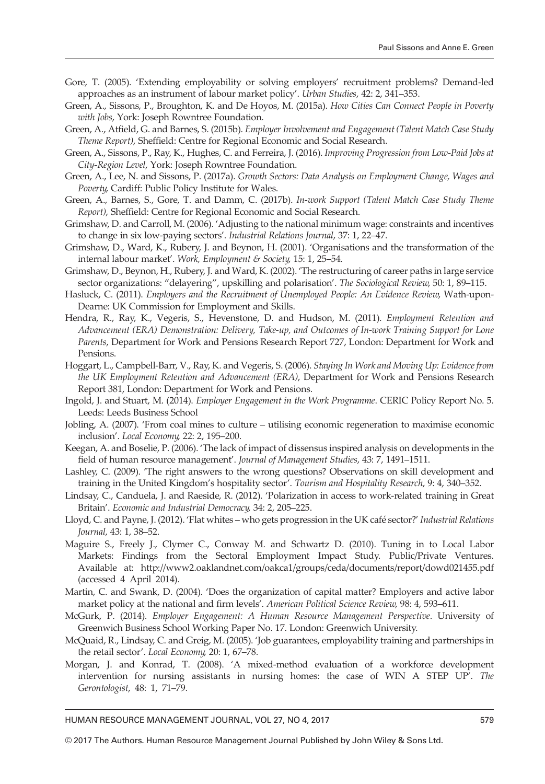- Gore, T. (2005). 'Extending employability or solving employers' recruitment problems? Demand-led approaches as an instrument of labour market policy'. Urban Studies, 42: 2, 341–353.
- Green, A., Sissons, P., Broughton, K. and De Hoyos, M. (2015a). How Cities Can Connect People in Poverty with Jobs, York: Joseph Rowntree Foundation.
- Green, A., Atfield, G. and Barnes, S. (2015b). Employer Involvement and Engagement (Talent Match Case Study Theme Report), Sheffield: Centre for Regional Economic and Social Research.
- Green, A., Sissons, P., Ray, K., Hughes, C. and Ferreira, J. (2016). Improving Progression from Low-Paid Jobs at City-Region Level, York: Joseph Rowntree Foundation.
- Green, A., Lee, N. and Sissons, P. (2017a). Growth Sectors: Data Analysis on Employment Change, Wages and Poverty, Cardiff: Public Policy Institute for Wales.
- Green, A., Barnes, S., Gore, T. and Damm, C. (2017b). In-work Support (Talent Match Case Study Theme Report), Sheffield: Centre for Regional Economic and Social Research.
- Grimshaw, D. and Carroll, M. (2006). 'Adjusting to the national minimum wage: constraints and incentives to change in six low-paying sectors'. Industrial Relations Journal, 37: 1, 22–47.
- Grimshaw, D., Ward, K., Rubery, J. and Beynon, H. (2001). 'Organisations and the transformation of the internal labour market'. Work, Employment & Society, 15: 1, 25-54.
- Grimshaw, D., Beynon, H., Rubery, J. and Ward, K. (2002). 'The restructuring of career paths in large service sector organizations: "delayering", upskilling and polarisation'. The Sociological Review, 50: 1, 89-115.
- Hasluck, C. (2011). Employers and the Recruitment of Unemployed People: An Evidence Review, Wath-upon-Dearne: UK Commission for Employment and Skills.
- Hendra, R., Ray, K., Vegeris, S., Hevenstone, D. and Hudson, M. (2011). Employment Retention and Advancement (ERA) Demonstration: Delivery, Take-up, and Outcomes of In-work Training Support for Lone Parents, Department for Work and Pensions Research Report 727, London: Department for Work and Pensions.
- Hoggart, L., Campbell-Barr, V., Ray, K. and Vegeris, S. (2006). Staying In Work and Moving Up: Evidence from the UK Employment Retention and Advancement (ERA), Department for Work and Pensions Research Report 381, London: Department for Work and Pensions.
- Ingold, J. and Stuart, M. (2014). Employer Engagement in the Work Programme. CERIC Policy Report No. 5. Leeds: Leeds Business School
- Jobling, A. (2007). 'From coal mines to culture utilising economic regeneration to maximise economic inclusion'. Local Economy, 22: 2, 195–200.
- Keegan, A. and Boselie, P. (2006). 'The lack of impact of dissensus inspired analysis on developments in the field of human resource management'. Journal of Management Studies, 43: 7, 1491-1511.
- Lashley, C. (2009). 'The right answers to the wrong questions? Observations on skill development and training in the United Kingdom's hospitality sector'. Tourism and Hospitality Research, 9: 4, 340-352.
- Lindsay, C., Canduela, J. and Raeside, R. (2012). 'Polarization in access to work-related training in Great Britain'. Economic and Industrial Democracy, 34: 2, 205–225.
- Lloyd, C. and Payne, J. (2012). 'Flat whites who gets progression in the UK café sector?' Industrial Relations Journal, 43: 1, 38–52.
- Maguire S., Freely J., Clymer C., Conway M. and Schwartz D. (2010). Tuning in to Local Labor Markets: Findings from the Sectoral Employment Impact Study. Public/Private Ventures. Available at:<http://www2.oaklandnet.com/oakca1/groups/ceda/documents/report/dowd021455.pdf> (accessed 4 April 2014).
- Martin, C. and Swank, D. (2004). 'Does the organization of capital matter? Employers and active labor market policy at the national and firm levels'. American Political Science Review, 98: 4, 593–611.
- McGurk, P. (2014). Employer Engagement: A Human Resource Management Perspective. University of Greenwich Business School Working Paper No. 17. London: Greenwich University.
- McQuaid, R., Lindsay, C. and Greig, M. (2005). 'Job guarantees, employability training and partnerships in the retail sector'. Local Economy, 20: 1, 67–78.
- Morgan, J. and Konrad, T. (2008). 'A mixed-method evaluation of a workforce development intervention for nursing assistants in nursing homes: the case of WIN A STEP UP'. The Gerontologist, 48: 1, 71–79.

HUMAN RESOURCE MANAGEMENT JOURNAL, VOL 27, NO 4, 2017 **FOURNAL**